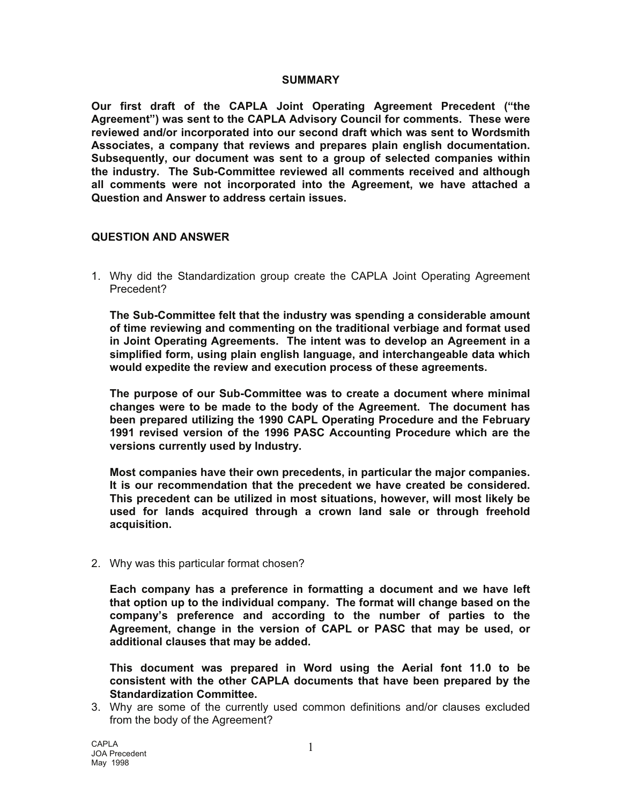## **SUMMARY**

**Our first draft of the CAPLA Joint Operating Agreement Precedent ("the Agreement") was sent to the CAPLA Advisory Council for comments. These were reviewed and/or incorporated into our second draft which was sent to Wordsmith Associates, a company that reviews and prepares plain english documentation. Subsequently, our document was sent to a group of selected companies within the industry. The Sub-Committee reviewed all comments received and although all comments were not incorporated into the Agreement, we have attached a Question and Answer to address certain issues.** 

## **QUESTION AND ANSWER**

1. Why did the Standardization group create the CAPLA Joint Operating Agreement Precedent?

 **The Sub-Committee felt that the industry was spending a considerable amount of time reviewing and commenting on the traditional verbiage and format used in Joint Operating Agreements. The intent was to develop an Agreement in a simplified form, using plain english language, and interchangeable data which would expedite the review and execution process of these agreements.** 

**The purpose of our Sub-Committee was to create a document where minimal changes were to be made to the body of the Agreement. The document has been prepared utilizing the 1990 CAPL Operating Procedure and the February 1991 revised version of the 1996 PASC Accounting Procedure which are the versions currently used by Industry.** 

**Most companies have their own precedents, in particular the major companies. It is our recommendation that the precedent we have created be considered. This precedent can be utilized in most situations, however, will most likely be used for lands acquired through a crown land sale or through freehold acquisition.** 

2. Why was this particular format chosen?

**Each company has a preference in formatting a document and we have left that option up to the individual company. The format will change based on the company's preference and according to the number of parties to the Agreement, change in the version of CAPL or PASC that may be used, or additional clauses that may be added.** 

**This document was prepared in Word using the Aerial font 11.0 to be consistent with the other CAPLA documents that have been prepared by the Standardization Committee.** 

3. Why are some of the currently used common definitions and/or clauses excluded from the body of the Agreement?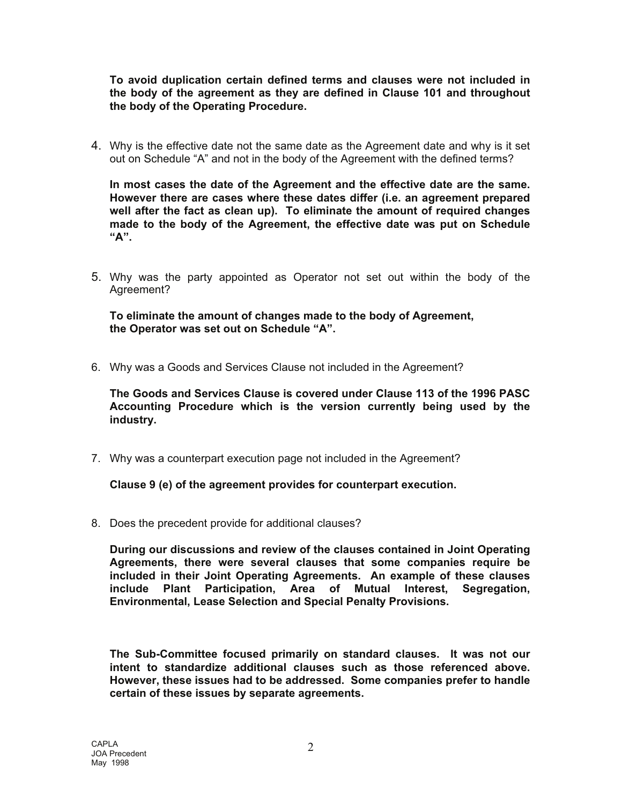**To avoid duplication certain defined terms and clauses were not included in the body of the agreement as they are defined in Clause 101 and throughout the body of the Operating Procedure.** 

4. Why is the effective date not the same date as the Agreement date and why is it set out on Schedule "A" and not in the body of the Agreement with the defined terms?

**In most cases the date of the Agreement and the effective date are the same. However there are cases where these dates differ (i.e. an agreement prepared well after the fact as clean up). To eliminate the amount of required changes made to the body of the Agreement, the effective date was put on Schedule "A".** 

5. Why was the party appointed as Operator not set out within the body of the Agreement?

 **To eliminate the amount of changes made to the body of Agreement, the Operator was set out on Schedule "A".**

6. Why was a Goods and Services Clause not included in the Agreement?

**The Goods and Services Clause is covered under Clause 113 of the 1996 PASC Accounting Procedure which is the version currently being used by the industry.** 

7. Why was a counterpart execution page not included in the Agreement?

 **Clause 9 (e) of the agreement provides for counterpart execution.** 

8. Does the precedent provide for additional clauses?

**During our discussions and review of the clauses contained in Joint Operating Agreements, there were several clauses that some companies require be included in their Joint Operating Agreements. An example of these clauses include Plant Participation, Area of Mutual Interest, Segregation, Environmental, Lease Selection and Special Penalty Provisions.** 

**The Sub-Committee focused primarily on standard clauses. It was not our intent to standardize additional clauses such as those referenced above. However, these issues had to be addressed. Some companies prefer to handle certain of these issues by separate agreements.**